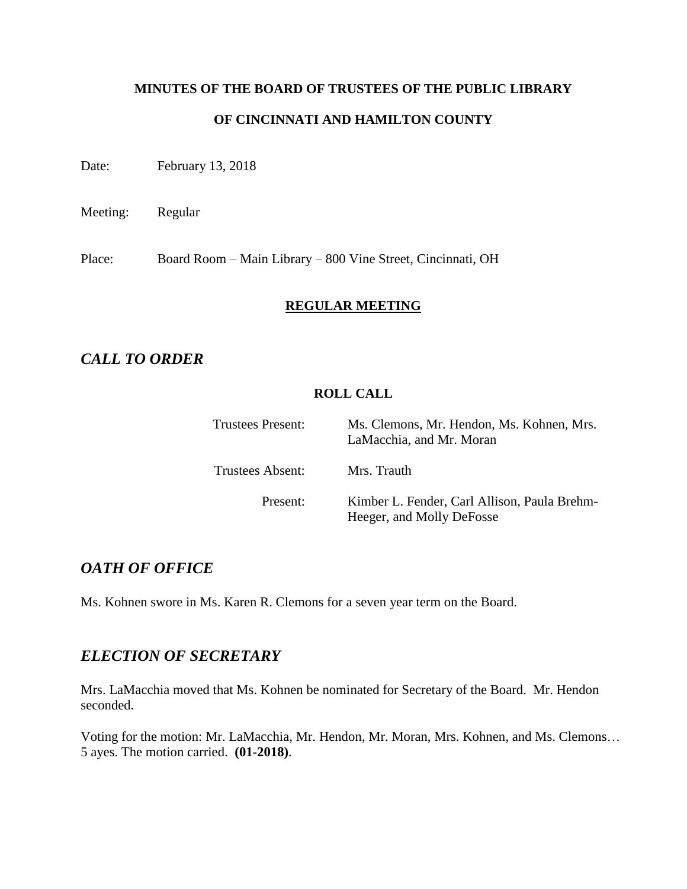# **MINUTES OF THE BOARD OF TRUSTEES OF THE PUBLIC LIBRARY OF CINCINNATI AND HAMILTON COUNTY**

Date: February 13, 2018

Meeting: Regular

Place: Board Room – Main Library – 800 Vine Street, Cincinnati, OH

### **REGULAR MEETING**

# *CALL TO ORDER*

#### **ROLL CALL**

| <b>Trustees Present:</b> | Ms. Clemons, Mr. Hendon, Ms. Kohnen, Mrs.<br>LaMacchia, and Mr. Moran     |
|--------------------------|---------------------------------------------------------------------------|
| Trustees Absent:         | Mrs. Trauth                                                               |
| Present:                 | Kimber L. Fender, Carl Allison, Paula Brehm-<br>Heeger, and Molly DeFosse |

### *OATH OF OFFICE*

Ms. Kohnen swore in Ms. Karen R. Clemons for a seven year term on the Board.

# *ELECTION OF SECRETARY*

Mrs. LaMacchia moved that Ms. Kohnen be nominated for Secretary of the Board. Mr. Hendon seconded.

Voting for the motion: Mr. LaMacchia, Mr. Hendon, Mr. Moran, Mrs. Kohnen, and Ms. Clemons… 5 ayes. The motion carried. **(01-2018)**.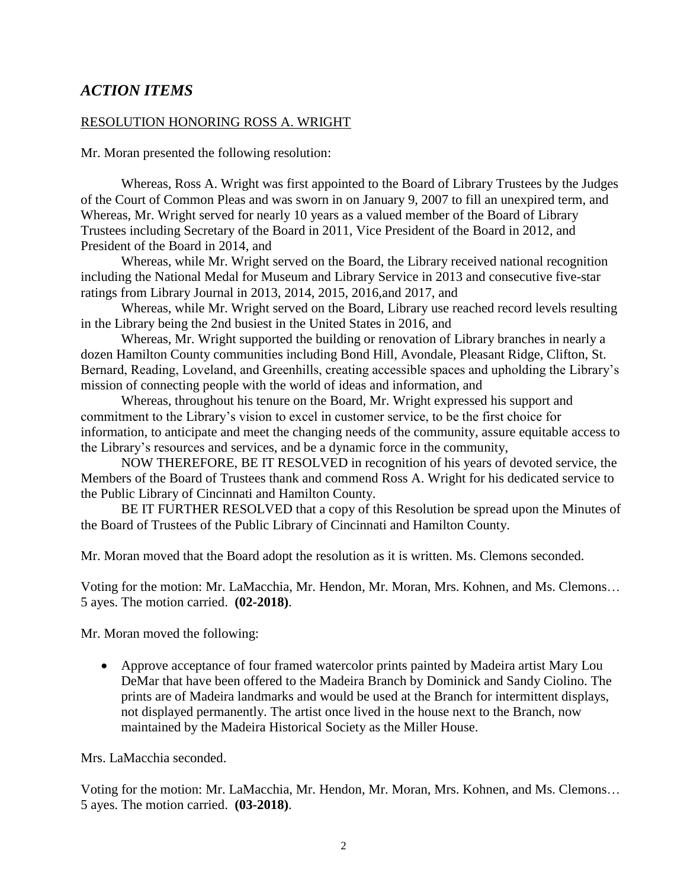### *ACTION ITEMS*

#### RESOLUTION HONORING ROSS A. WRIGHT

Mr. Moran presented the following resolution:

Whereas, Ross A. Wright was first appointed to the Board of Library Trustees by the Judges of the Court of Common Pleas and was sworn in on January 9, 2007 to fill an unexpired term, and Whereas, Mr. Wright served for nearly 10 years as a valued member of the Board of Library Trustees including Secretary of the Board in 2011, Vice President of the Board in 2012, and President of the Board in 2014, and

Whereas, while Mr. Wright served on the Board, the Library received national recognition including the National Medal for Museum and Library Service in 2013 and consecutive five-star ratings from Library Journal in 2013, 2014, 2015, 2016,and 2017, and

Whereas, while Mr. Wright served on the Board, Library use reached record levels resulting in the Library being the 2nd busiest in the United States in 2016, and

Whereas, Mr. Wright supported the building or renovation of Library branches in nearly a dozen Hamilton County communities including Bond Hill, Avondale, Pleasant Ridge, Clifton, St. Bernard, Reading, Loveland, and Greenhills, creating accessible spaces and upholding the Library's mission of connecting people with the world of ideas and information, and

Whereas, throughout his tenure on the Board, Mr. Wright expressed his support and commitment to the Library's vision to excel in customer service, to be the first choice for information, to anticipate and meet the changing needs of the community, assure equitable access to the Library's resources and services, and be a dynamic force in the community,

NOW THEREFORE, BE IT RESOLVED in recognition of his years of devoted service, the Members of the Board of Trustees thank and commend Ross A. Wright for his dedicated service to the Public Library of Cincinnati and Hamilton County.

BE IT FURTHER RESOLVED that a copy of this Resolution be spread upon the Minutes of the Board of Trustees of the Public Library of Cincinnati and Hamilton County.

Mr. Moran moved that the Board adopt the resolution as it is written. Ms. Clemons seconded.

Voting for the motion: Mr. LaMacchia, Mr. Hendon, Mr. Moran, Mrs. Kohnen, and Ms. Clemons… 5 ayes. The motion carried. **(02-2018)**.

Mr. Moran moved the following:

 Approve acceptance of four framed watercolor prints painted by Madeira artist Mary Lou DeMar that have been offered to the Madeira Branch by Dominick and Sandy Ciolino. The prints are of Madeira landmarks and would be used at the Branch for intermittent displays, not displayed permanently. The artist once lived in the house next to the Branch, now maintained by the Madeira Historical Society as the Miller House.

Mrs. LaMacchia seconded.

Voting for the motion: Mr. LaMacchia, Mr. Hendon, Mr. Moran, Mrs. Kohnen, and Ms. Clemons… 5 ayes. The motion carried. **(03-2018)**.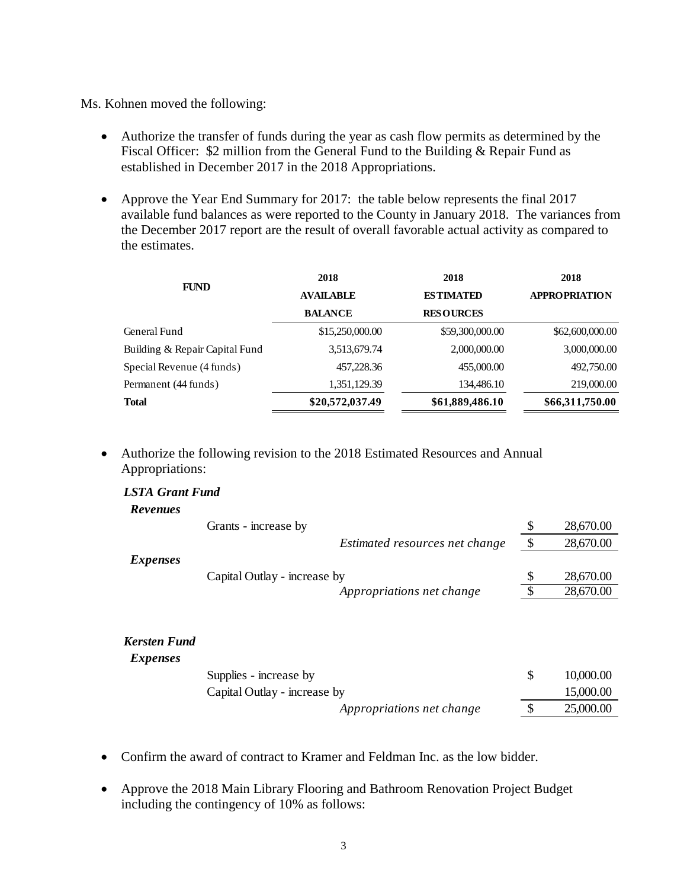Ms. Kohnen moved the following:

- Authorize the transfer of funds during the year as cash flow permits as determined by the Fiscal Officer: \$2 million from the General Fund to the Building & Repair Fund as established in December 2017 in the 2018 Appropriations.
- Approve the Year End Summary for 2017: the table below represents the final 2017 available fund balances as were reported to the County in January 2018. The variances from the December 2017 report are the result of overall favorable actual activity as compared to the estimates.

|                                | 2018             | 2018             | 2018                 |
|--------------------------------|------------------|------------------|----------------------|
| <b>FUND</b>                    | <b>AVAILABLE</b> | <b>ESTIMATED</b> | <b>APPROPRIATION</b> |
|                                | <b>BALANCE</b>   | <b>RESOURCES</b> |                      |
| General Fund                   | \$15,250,000.00  | \$59,300,000.00  | \$62,600,000.00      |
| Building & Repair Capital Fund | 3,513,679.74     | 2,000,000.00     | 3,000,000.00         |
| Special Revenue (4 funds)      | 457,228.36       | 455,000.00       | 492,750.00           |
| Permanent (44 funds)           | 1,351,129.39     | 134,486.10       | 219,000.00           |
| <b>Total</b>                   | \$20,572,037.49  | \$61,889,486.10  | \$66,311,750.00      |
|                                |                  |                  |                      |

 Authorize the following revision to the 2018 Estimated Resources and Annual Appropriations:

| <b>LSTA Grant Fund</b> |                                |                 |
|------------------------|--------------------------------|-----------------|
| <b>Revenues</b>        |                                |                 |
|                        | Grants - increase by           | \$<br>28,670.00 |
|                        | Estimated resources net change | \$<br>28,670.00 |
| <i>Expenses</i>        |                                |                 |
|                        | Capital Outlay - increase by   | \$<br>28,670.00 |
|                        | Appropriations net change      | 28,670.00       |
|                        |                                |                 |
|                        |                                |                 |
| <b>Kersten Fund</b>    |                                |                 |
| <i>Expenses</i>        |                                |                 |
|                        | Supplies - increase by         | \$<br>10,000.00 |
|                        | Capital Outlay - increase by   | 15,000.00       |
|                        | Appropriations net change      | \$<br>25,000.00 |

- Confirm the award of contract to Kramer and Feldman Inc. as the low bidder.
- Approve the 2018 Main Library Flooring and Bathroom Renovation Project Budget including the contingency of 10% as follows: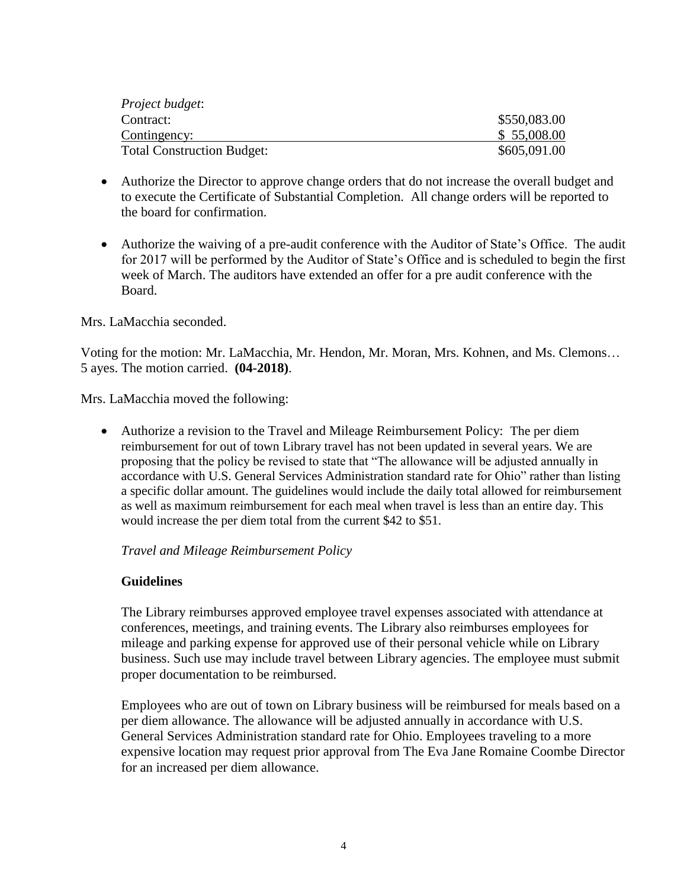| Project budget:                   |              |
|-----------------------------------|--------------|
| Contract:                         | \$550,083.00 |
| Contingency:                      | \$55,008.00  |
| <b>Total Construction Budget:</b> | \$605,091.00 |

- Authorize the Director to approve change orders that do not increase the overall budget and to execute the Certificate of Substantial Completion. All change orders will be reported to the board for confirmation.
- Authorize the waiving of a pre-audit conference with the Auditor of State's Office. The audit for 2017 will be performed by the Auditor of State's Office and is scheduled to begin the first week of March. The auditors have extended an offer for a pre audit conference with the Board.

#### Mrs. LaMacchia seconded.

Voting for the motion: Mr. LaMacchia, Mr. Hendon, Mr. Moran, Mrs. Kohnen, and Ms. Clemons… 5 ayes. The motion carried. **(04-2018)**.

Mrs. LaMacchia moved the following:

 Authorize a revision to the Travel and Mileage Reimbursement Policy: The per diem reimbursement for out of town Library travel has not been updated in several years. We are proposing that the policy be revised to state that "The allowance will be adjusted annually in accordance with U.S. General Services Administration standard rate for Ohio" rather than listing a specific dollar amount. The guidelines would include the daily total allowed for reimbursement as well as maximum reimbursement for each meal when travel is less than an entire day. This would increase the per diem total from the current \$42 to \$51.

#### *Travel and Mileage Reimbursement Policy*

### **Guidelines**

The Library reimburses approved employee travel expenses associated with attendance at conferences, meetings, and training events. The Library also reimburses employees for mileage and parking expense for approved use of their personal vehicle while on Library business. Such use may include travel between Library agencies. The employee must submit proper documentation to be reimbursed.

Employees who are out of town on Library business will be reimbursed for meals based on a per diem allowance. The allowance will be adjusted annually in accordance with U.S. General Services Administration standard rate for Ohio. Employees traveling to a more expensive location may request prior approval from The Eva Jane Romaine Coombe Director for an increased per diem allowance.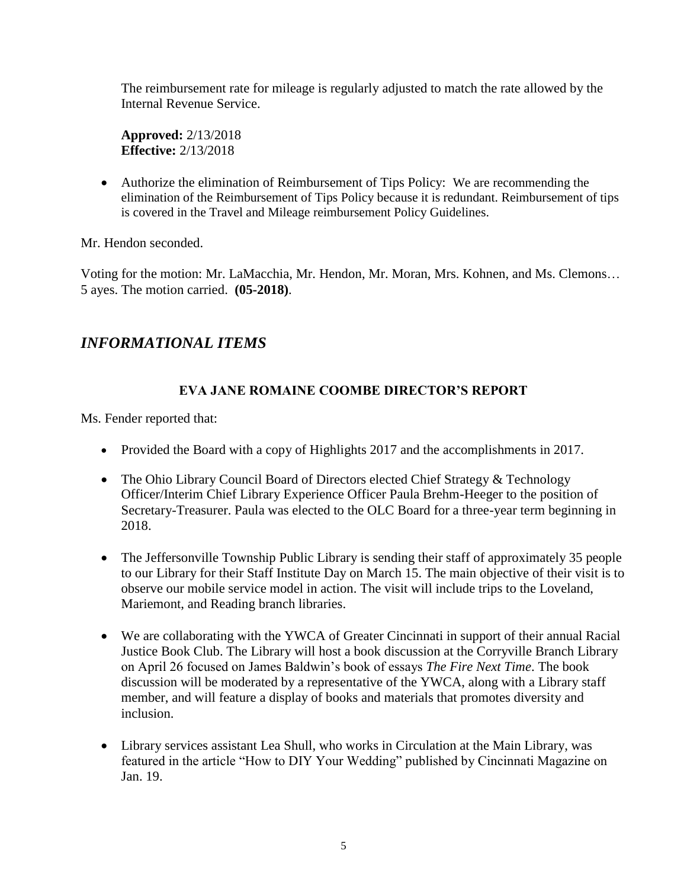The reimbursement rate for mileage is regularly adjusted to match the rate allowed by the Internal Revenue Service.

**Approved:** 2/13/2018 **Effective:** 2/13/2018

 Authorize the elimination of Reimbursement of Tips Policy: We are recommending the elimination of the Reimbursement of Tips Policy because it is redundant. Reimbursement of tips is covered in the Travel and Mileage reimbursement Policy Guidelines.

Mr. Hendon seconded.

Voting for the motion: Mr. LaMacchia, Mr. Hendon, Mr. Moran, Mrs. Kohnen, and Ms. Clemons… 5 ayes. The motion carried. **(05-2018)**.

# *INFORMATIONAL ITEMS*

### **EVA JANE ROMAINE COOMBE DIRECTOR'S REPORT**

Ms. Fender reported that:

- Provided the Board with a copy of Highlights 2017 and the accomplishments in 2017.
- The Ohio Library Council Board of Directors elected Chief Strategy & Technology Officer/Interim Chief Library Experience Officer Paula Brehm-Heeger to the position of Secretary-Treasurer. Paula was elected to the OLC Board for a three-year term beginning in 2018.
- The Jeffersonville Township Public Library is sending their staff of approximately 35 people to our Library for their Staff Institute Day on March 15. The main objective of their visit is to observe our mobile service model in action. The visit will include trips to the Loveland, Mariemont, and Reading branch libraries.
- We are collaborating with the YWCA of Greater Cincinnati in support of their annual Racial Justice Book Club. The Library will host a book discussion at the Corryville Branch Library on April 26 focused on James Baldwin's book of essays *The Fire Next Time*. The book discussion will be moderated by a representative of the YWCA, along with a Library staff member, and will feature a display of books and materials that promotes diversity and inclusion.
- Library services assistant Lea Shull, who works in Circulation at the Main Library, was featured in the article "How to DIY Your Wedding" published by Cincinnati Magazine on Jan. 19.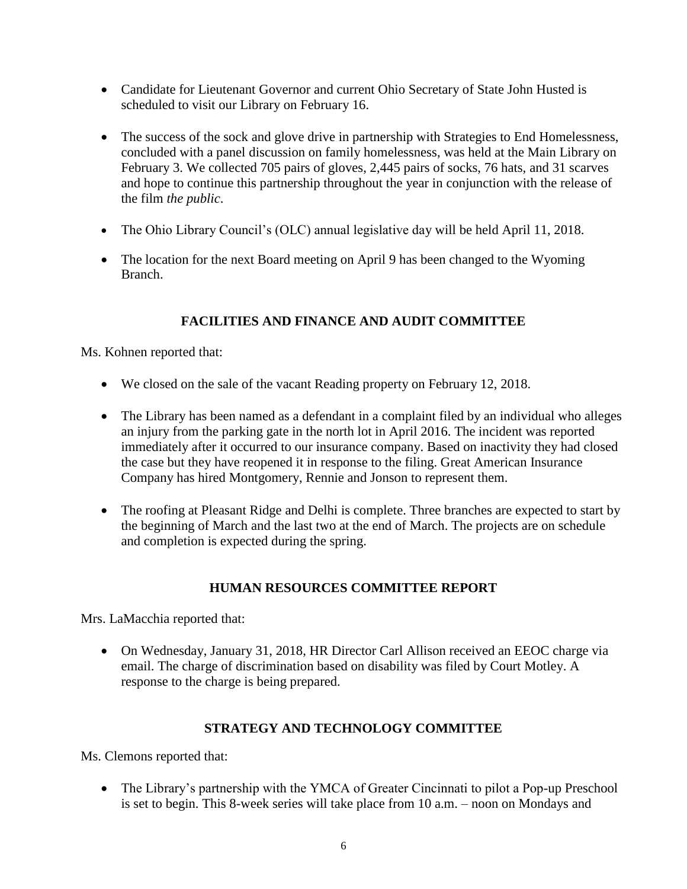- Candidate for Lieutenant Governor and current Ohio Secretary of State John Husted is scheduled to visit our Library on February 16.
- The success of the sock and glove drive in partnership with Strategies to End Homelessness, concluded with a panel discussion on family homelessness, was held at the Main Library on February 3. We collected 705 pairs of gloves, 2,445 pairs of socks, 76 hats, and 31 scarves and hope to continue this partnership throughout the year in conjunction with the release of the film *the public*.
- The Ohio Library Council's (OLC) annual legislative day will be held April 11, 2018.
- The location for the next Board meeting on April 9 has been changed to the Wyoming Branch.

# **FACILITIES AND FINANCE AND AUDIT COMMITTEE**

Ms. Kohnen reported that:

- We closed on the sale of the vacant Reading property on February 12, 2018.
- The Library has been named as a defendant in a complaint filed by an individual who alleges an injury from the parking gate in the north lot in April 2016. The incident was reported immediately after it occurred to our insurance company. Based on inactivity they had closed the case but they have reopened it in response to the filing. Great American Insurance Company has hired Montgomery, Rennie and Jonson to represent them.
- The roofing at Pleasant Ridge and Delhi is complete. Three branches are expected to start by the beginning of March and the last two at the end of March. The projects are on schedule and completion is expected during the spring.

### **HUMAN RESOURCES COMMITTEE REPORT**

Mrs. LaMacchia reported that:

 On Wednesday, January 31, 2018, HR Director Carl Allison received an EEOC charge via email. The charge of discrimination based on disability was filed by Court Motley. A response to the charge is being prepared.

### **STRATEGY AND TECHNOLOGY COMMITTEE**

Ms. Clemons reported that:

• The Library's partnership with the YMCA of Greater Cincinnati to pilot a Pop-up Preschool is set to begin. This 8-week series will take place from 10 a.m. – noon on Mondays and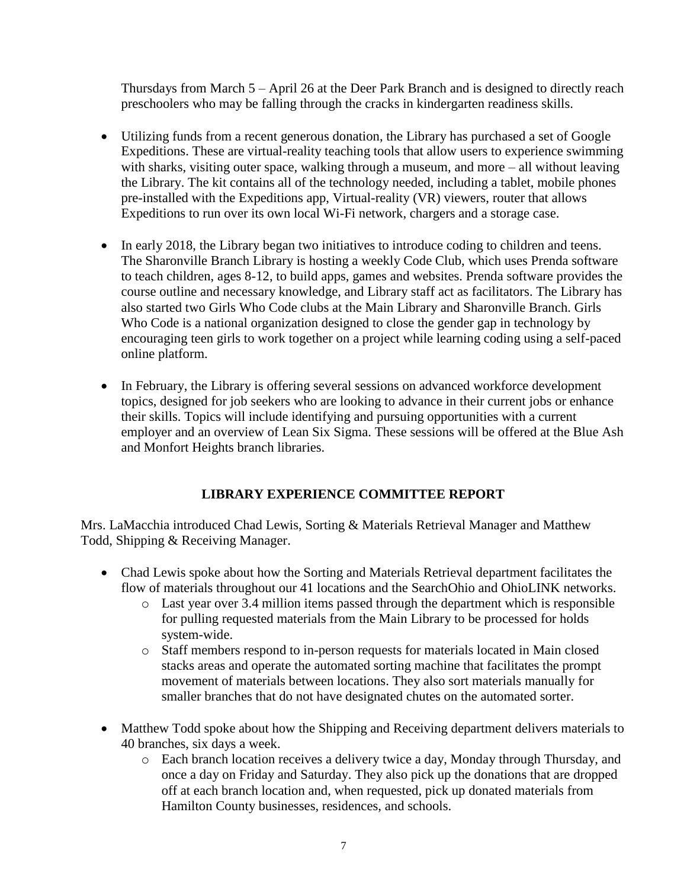Thursdays from March 5 – April 26 at the Deer Park Branch and is designed to directly reach preschoolers who may be falling through the cracks in kindergarten readiness skills.

- Utilizing funds from a recent generous donation, the Library has purchased a set of Google Expeditions. These are virtual-reality teaching tools that allow users to experience swimming with sharks, visiting outer space, walking through a museum, and more – all without leaving the Library. The kit contains all of the technology needed, including a tablet, mobile phones pre-installed with the Expeditions app, Virtual-reality (VR) viewers, router that allows Expeditions to run over its own local Wi-Fi network, chargers and a storage case.
- In early 2018, the Library began two initiatives to introduce coding to children and teens. The Sharonville Branch Library is hosting a weekly Code Club, which uses Prenda software to teach children, ages 8-12, to build apps, games and websites. Prenda software provides the course outline and necessary knowledge, and Library staff act as facilitators. The Library has also started two Girls Who Code clubs at the Main Library and Sharonville Branch. Girls Who Code is a national organization designed to close the gender gap in technology by encouraging teen girls to work together on a project while learning coding using a self-paced online platform.
- In February, the Library is offering several sessions on advanced workforce development topics, designed for job seekers who are looking to advance in their current jobs or enhance their skills. Topics will include identifying and pursuing opportunities with a current employer and an overview of Lean Six Sigma. These sessions will be offered at the Blue Ash and Monfort Heights branch libraries.

### **LIBRARY EXPERIENCE COMMITTEE REPORT**

Mrs. LaMacchia introduced Chad Lewis, Sorting & Materials Retrieval Manager and Matthew Todd, Shipping & Receiving Manager.

- Chad Lewis spoke about how the Sorting and Materials Retrieval department facilitates the flow of materials throughout our 41 locations and the SearchOhio and OhioLINK networks.
	- o Last year over 3.4 million items passed through the department which is responsible for pulling requested materials from the Main Library to be processed for holds system-wide.
	- o Staff members respond to in-person requests for materials located in Main closed stacks areas and operate the automated sorting machine that facilitates the prompt movement of materials between locations. They also sort materials manually for smaller branches that do not have designated chutes on the automated sorter.
- Matthew Todd spoke about how the Shipping and Receiving department delivers materials to 40 branches, six days a week.
	- o Each branch location receives a delivery twice a day, Monday through Thursday, and once a day on Friday and Saturday. They also pick up the donations that are dropped off at each branch location and, when requested, pick up donated materials from Hamilton County businesses, residences, and schools.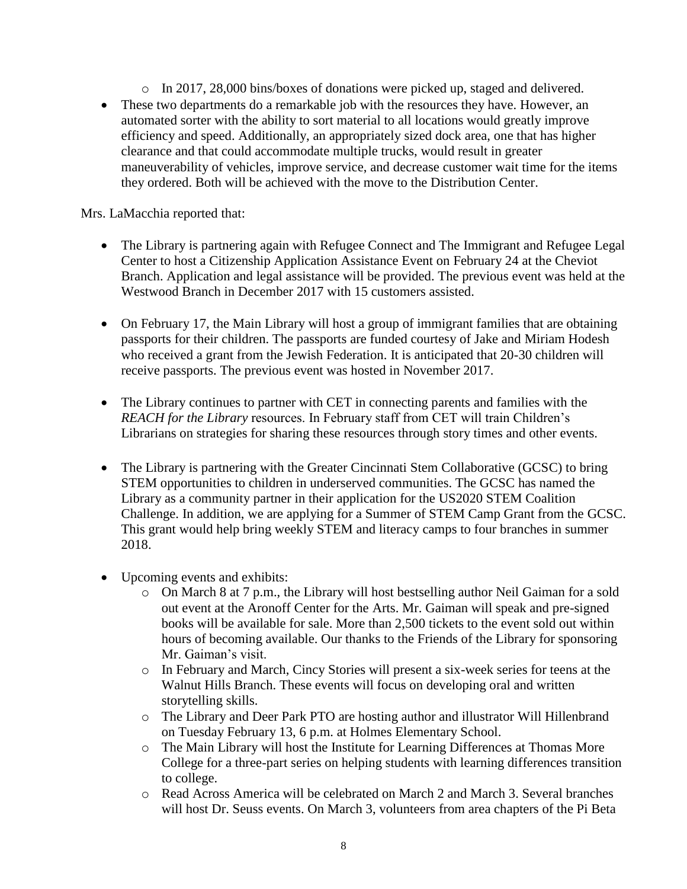- o In 2017, 28,000 bins/boxes of donations were picked up, staged and delivered.
- These two departments do a remarkable job with the resources they have. However, an automated sorter with the ability to sort material to all locations would greatly improve efficiency and speed. Additionally, an appropriately sized dock area, one that has higher clearance and that could accommodate multiple trucks, would result in greater maneuverability of vehicles, improve service, and decrease customer wait time for the items they ordered. Both will be achieved with the move to the Distribution Center.

Mrs. LaMacchia reported that:

- The Library is partnering again with Refugee Connect and The Immigrant and Refugee Legal Center to host a Citizenship Application Assistance Event on February 24 at the Cheviot Branch. Application and legal assistance will be provided. The previous event was held at the Westwood Branch in December 2017 with 15 customers assisted.
- On February 17, the Main Library will host a group of immigrant families that are obtaining passports for their children. The passports are funded courtesy of Jake and Miriam Hodesh who received a grant from the Jewish Federation. It is anticipated that 20-30 children will receive passports. The previous event was hosted in November 2017.
- The Library continues to partner with CET in connecting parents and families with the *REACH for the Library* resources. In February staff from CET will train Children's Librarians on strategies for sharing these resources through story times and other events.
- The Library is partnering with the Greater Cincinnati Stem Collaborative (GCSC) to bring STEM opportunities to children in underserved communities. The GCSC has named the Library as a community partner in their application for the US2020 STEM Coalition Challenge. In addition, we are applying for a Summer of STEM Camp Grant from the GCSC. This grant would help bring weekly STEM and literacy camps to four branches in summer 2018.
- Upcoming events and exhibits:
	- o On March 8 at 7 p.m., the Library will host bestselling author Neil Gaiman for a sold out event at the Aronoff Center for the Arts. Mr. Gaiman will speak and pre-signed books will be available for sale. More than 2,500 tickets to the event sold out within hours of becoming available. Our thanks to the Friends of the Library for sponsoring Mr. Gaiman's visit.
	- o In February and March, Cincy Stories will present a six-week series for teens at the Walnut Hills Branch. These events will focus on developing oral and written storytelling skills.
	- o The Library and Deer Park PTO are hosting author and illustrator Will Hillenbrand on Tuesday February 13, 6 p.m. at Holmes Elementary School.
	- o The Main Library will host the Institute for Learning Differences at Thomas More College for a three-part series on helping students with learning differences transition to college.
	- o Read Across America will be celebrated on March 2 and March 3. Several branches will host Dr. Seuss events. On March 3, volunteers from area chapters of the Pi Beta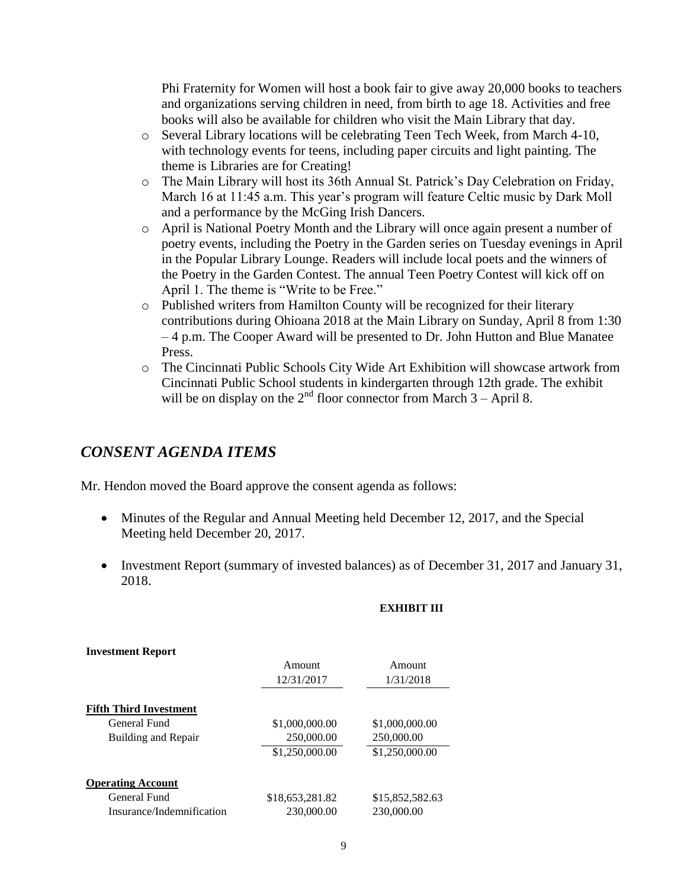Phi Fraternity for Women will host a book fair to give away 20,000 books to teachers and organizations serving children in need, from birth to age 18. Activities and free books will also be available for children who visit the Main Library that day.

- o Several Library locations will be celebrating Teen Tech Week, from March 4-10, with technology events for teens, including paper circuits and light painting. The theme is Libraries are for Creating!
- o The Main Library will host its 36th Annual St. Patrick's Day Celebration on Friday, March 16 at 11:45 a.m. This year's program will feature Celtic music by Dark Moll and a performance by the McGing Irish Dancers.
- o April is National Poetry Month and the Library will once again present a number of poetry events, including the Poetry in the Garden series on Tuesday evenings in April in the Popular Library Lounge. Readers will include local poets and the winners of the Poetry in the Garden Contest. The annual Teen Poetry Contest will kick off on April 1. The theme is "Write to be Free."
- o Published writers from Hamilton County will be recognized for their literary contributions during Ohioana 2018 at the Main Library on Sunday, April 8 from 1:30 – 4 p.m. The Cooper Award will be presented to Dr. John Hutton and Blue Manatee Press.
- o The Cincinnati Public Schools City Wide Art Exhibition will showcase artwork from Cincinnati Public School students in kindergarten through 12th grade. The exhibit will be on display on the  $2^{nd}$  floor connector from March  $3 -$ April 8.

### *CONSENT AGENDA ITEMS*

**Investment Report**

Mr. Hendon moved the Board approve the consent agenda as follows:

- Minutes of the Regular and Annual Meeting held December 12, 2017, and the Special Meeting held December 20, 2017.
- Investment Report (summary of invested balances) as of December 31, 2017 and January 31, 2018.

#### **EXHIBIT III**

| <b>I</b> IIVESUIIEIIU KEPOFU  |                 |                 |
|-------------------------------|-----------------|-----------------|
|                               | Amount          | Amount          |
|                               | 12/31/2017      | 1/31/2018       |
| <b>Fifth Third Investment</b> |                 |                 |
| General Fund                  | \$1,000,000.00  | \$1,000,000.00  |
| Building and Repair           | 250,000.00      | 250,000.00      |
|                               | \$1,250,000.00  | \$1,250,000.00  |
| <b>Operating Account</b>      |                 |                 |
| General Fund                  | \$18,653,281.82 | \$15,852,582.63 |
| Insurance/Indemnification     | 230,000.00      | 230,000.00      |
|                               |                 |                 |

#### 9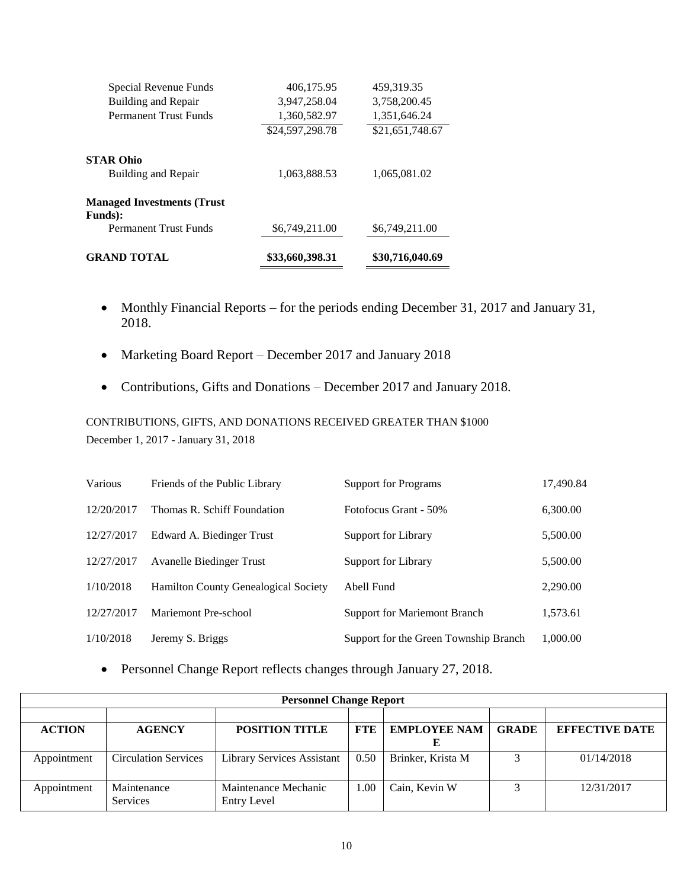| <b>GRAND TOTAL</b>                             | \$33,660,398.31 | \$30,716,040.69 |
|------------------------------------------------|-----------------|-----------------|
| <b>Permanent Trust Funds</b>                   | \$6,749,211.00  | \$6,749,211.00  |
| <b>Managed Investments (Trust</b> )<br>Funds): |                 |                 |
| <b>STAR Ohio</b><br><b>Building and Repair</b> | 1,063,888.53    | 1,065,081.02    |
|                                                | \$24,597,298.78 | \$21,651,748.67 |
| <b>Permanent Trust Funds</b>                   | 1,360,582.97    | 1,351,646.24    |
| Building and Repair                            | 3,947,258.04    | 3,758,200.45    |
| Special Revenue Funds                          | 406,175.95      | 459,319.35      |

- Monthly Financial Reports for the periods ending December 31, 2017 and January 31, 2018.
- Marketing Board Report December 2017 and January 2018
- Contributions, Gifts and Donations December 2017 and January 2018.

CONTRIBUTIONS, GIFTS, AND DONATIONS RECEIVED GREATER THAN \$1000 December 1, 2017 - January 31, 2018

| Various    | Friends of the Public Library               | <b>Support for Programs</b>           | 17,490.84 |
|------------|---------------------------------------------|---------------------------------------|-----------|
| 12/20/2017 | Thomas R. Schiff Foundation                 | Fotofocus Grant - 50%                 | 6,300.00  |
| 12/27/2017 | Edward A. Biedinger Trust                   | Support for Library                   | 5,500.00  |
| 12/27/2017 | <b>Avanelle Biedinger Trust</b>             | Support for Library                   | 5,500.00  |
| 1/10/2018  | <b>Hamilton County Genealogical Society</b> | Abell Fund                            | 2,290.00  |
| 12/27/2017 | Mariemont Pre-school                        | <b>Support for Mariemont Branch</b>   | 1,573.61  |
| 1/10/2018  | Jeremy S. Briggs                            | Support for the Green Township Branch | 1,000.00  |

Personnel Change Report reflects changes through January 27, 2018.

| <b>Personnel Change Report</b> |                             |                                   |            |                     |              |                       |  |  |
|--------------------------------|-----------------------------|-----------------------------------|------------|---------------------|--------------|-----------------------|--|--|
|                                |                             |                                   |            |                     |              |                       |  |  |
| <b>ACTION</b>                  | <b>AGENCY</b>               | <b>POSITION TITLE</b>             | <b>FTE</b> | <b>EMPLOYEE NAM</b> | <b>GRADE</b> | <b>EFFECTIVE DATE</b> |  |  |
|                                |                             |                                   |            |                     |              |                       |  |  |
| Appointment                    | <b>Circulation Services</b> | <b>Library Services Assistant</b> | 0.50       | Brinker, Krista M   |              | 01/14/2018            |  |  |
|                                |                             |                                   |            |                     |              |                       |  |  |
| Appointment                    | Maintenance                 | Maintenance Mechanic              | .00.       | Cain, Kevin W       |              | 12/31/2017            |  |  |
|                                | <b>Services</b>             | Entry Level                       |            |                     |              |                       |  |  |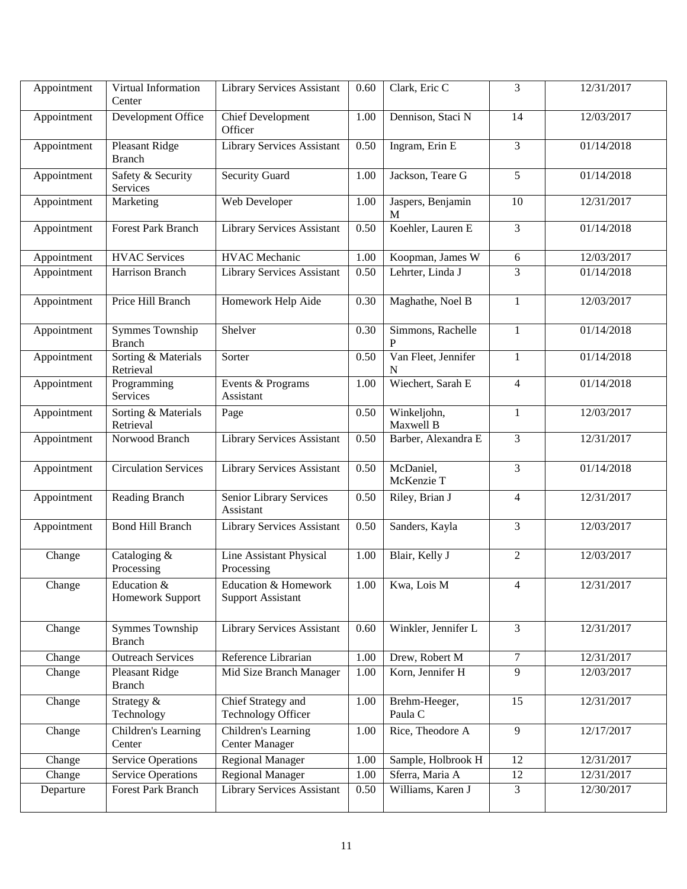| Appointment | Virtual Information<br>Center    | Library Services Assistant                                  | 0.60 | Clark, Eric C            | 3              | 12/31/2017 |
|-------------|----------------------------------|-------------------------------------------------------------|------|--------------------------|----------------|------------|
| Appointment | Development Office               | <b>Chief Development</b><br>Officer                         | 1.00 | Dennison, Staci N        | 14             | 12/03/2017 |
| Appointment | Pleasant Ridge<br><b>Branch</b>  | Library Services Assistant                                  | 0.50 | Ingram, Erin E           | 3              | 01/14/2018 |
| Appointment | Safety & Security<br>Services    | <b>Security Guard</b>                                       | 1.00 | Jackson, Teare G         | 5              | 01/14/2018 |
| Appointment | Marketing                        | Web Developer                                               | 1.00 | Jaspers, Benjamin<br>M   | 10             | 12/31/2017 |
| Appointment | <b>Forest Park Branch</b>        | Library Services Assistant                                  | 0.50 | Koehler, Lauren E        | 3              | 01/14/2018 |
| Appointment | <b>HVAC</b> Services             | <b>HVAC</b> Mechanic                                        | 1.00 | Koopman, James W         | $6\,$          | 12/03/2017 |
| Appointment | Harrison Branch                  | Library Services Assistant                                  | 0.50 | Lehrter, Linda J         | 3              | 01/14/2018 |
| Appointment | Price Hill Branch                | Homework Help Aide                                          | 0.30 | Maghathe, Noel B         | $\mathbf{1}$   | 12/03/2017 |
| Appointment | Symmes Township<br><b>Branch</b> | Shelver                                                     | 0.30 | Simmons, Rachelle        | $\mathbf{1}$   | 01/14/2018 |
| Appointment | Sorting & Materials<br>Retrieval | Sorter                                                      | 0.50 | Van Fleet, Jennifer<br>N | $\mathbf{1}$   | 01/14/2018 |
| Appointment | Programming<br><b>Services</b>   | Events & Programs<br>Assistant                              | 1.00 | Wiechert, Sarah E        | $\overline{4}$ | 01/14/2018 |
| Appointment | Sorting & Materials<br>Retrieval | Page                                                        | 0.50 | Winkeljohn,<br>Maxwell B | $\mathbf{1}$   | 12/03/2017 |
| Appointment | Norwood Branch                   | <b>Library Services Assistant</b>                           | 0.50 | Barber, Alexandra E      | 3              | 12/31/2017 |
| Appointment | <b>Circulation Services</b>      | Library Services Assistant                                  | 0.50 | McDaniel,<br>McKenzie T  | 3              | 01/14/2018 |
| Appointment | <b>Reading Branch</b>            | Senior Library Services<br>Assistant                        | 0.50 | Riley, Brian J           | $\overline{4}$ | 12/31/2017 |
| Appointment | <b>Bond Hill Branch</b>          | Library Services Assistant                                  | 0.50 | Sanders, Kayla           | 3              | 12/03/2017 |
| Change      | Cataloging &<br>Processing       | Line Assistant Physical<br>Processing                       | 1.00 | Blair, Kelly J           | $\overline{2}$ | 12/03/2017 |
| Change      | Education &<br>Homework Support  | <b>Education &amp; Homework</b><br><b>Support Assistant</b> |      | $1.00$ Kwa, Lois M       | 4              | 12/31/2017 |
| Change      | Symmes Township<br><b>Branch</b> | Library Services Assistant                                  | 0.60 | Winkler, Jennifer L      | $\overline{3}$ | 12/31/2017 |
| Change      | <b>Outreach Services</b>         | Reference Librarian                                         | 1.00 | Drew, Robert M           | $\overline{7}$ | 12/31/2017 |
| Change      | Pleasant Ridge<br><b>Branch</b>  | Mid Size Branch Manager                                     | 1.00 | Korn, Jennifer H         | $\overline{9}$ | 12/03/2017 |
| Change      | Strategy &<br>Technology         | Chief Strategy and<br>Technology Officer                    | 1.00 | Brehm-Heeger,<br>Paula C | 15             | 12/31/2017 |
| Change      | Children's Learning<br>Center    | Children's Learning<br><b>Center Manager</b>                | 1.00 | Rice, Theodore A         | 9              | 12/17/2017 |
| Change      | <b>Service Operations</b>        | <b>Regional Manager</b>                                     | 1.00 | Sample, Holbrook H       | 12             | 12/31/2017 |
| Change      | <b>Service Operations</b>        | <b>Regional Manager</b>                                     | 1.00 | Sferra, Maria A          | 12             | 12/31/2017 |
| Departure   | Forest Park Branch               | Library Services Assistant                                  | 0.50 | Williams, Karen J        | 3              | 12/30/2017 |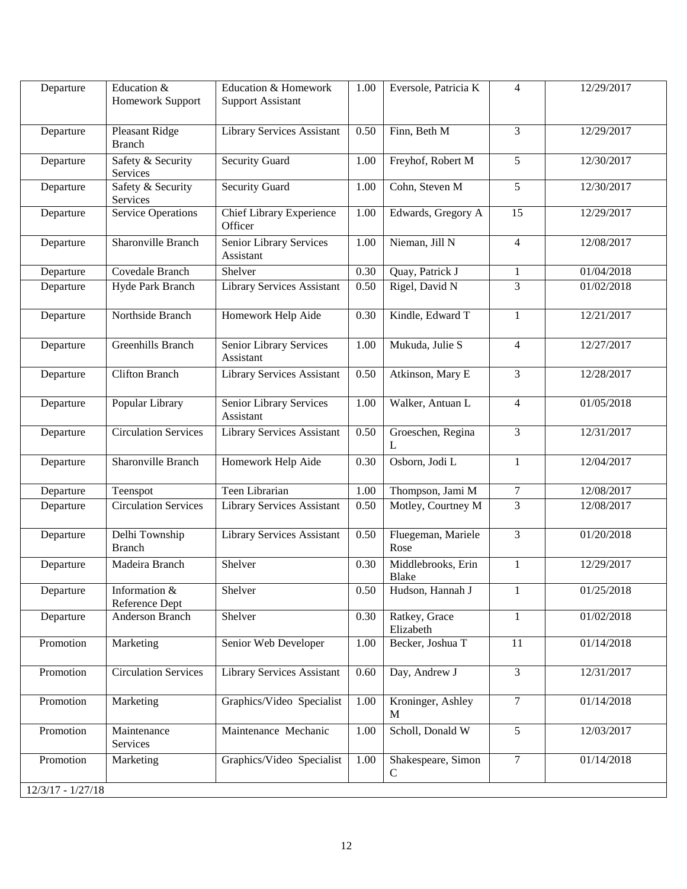| Departure           | Education &<br>Homework Support | Education & Homework<br><b>Support Assistant</b> | 1.00 | Eversole, Patricia K              | $\overline{4}$  | 12/29/2017 |
|---------------------|---------------------------------|--------------------------------------------------|------|-----------------------------------|-----------------|------------|
| Departure           | Pleasant Ridge<br><b>Branch</b> | Library Services Assistant                       | 0.50 | Finn, Beth M                      | 3               | 12/29/2017 |
| Departure           | Safety & Security<br>Services   | <b>Security Guard</b>                            | 1.00 | Freyhof, Robert M                 | 5               | 12/30/2017 |
| Departure           | Safety & Security<br>Services   | <b>Security Guard</b>                            | 1.00 | Cohn, Steven M                    | 5               | 12/30/2017 |
| Departure           | <b>Service Operations</b>       | <b>Chief Library Experience</b><br>Officer       | 1.00 | Edwards, Gregory A                | $\overline{15}$ | 12/29/2017 |
| Departure           | Sharonville Branch              | Senior Library Services<br>Assistant             | 1.00 | Nieman, Jill N                    | $\overline{4}$  | 12/08/2017 |
| Departure           | Covedale Branch                 | Shelver                                          | 0.30 | Quay, Patrick J                   | $\mathbf{1}$    | 01/04/2018 |
| Departure           | Hyde Park Branch                | <b>Library Services Assistant</b>                | 0.50 | Rigel, David N                    | 3               | 01/02/2018 |
| Departure           | Northside Branch                | Homework Help Aide                               | 0.30 | Kindle, Edward T                  | $\mathbf{1}$    | 12/21/2017 |
| Departure           | Greenhills Branch               | Senior Library Services<br>Assistant             | 1.00 | Mukuda, Julie S                   | $\overline{4}$  | 12/27/2017 |
| Departure           | <b>Clifton Branch</b>           | <b>Library Services Assistant</b>                | 0.50 | Atkinson, Mary E                  | 3               | 12/28/2017 |
| Departure           | Popular Library                 | Senior Library Services<br>Assistant             | 1.00 | Walker, Antuan L                  | $\overline{4}$  | 01/05/2018 |
| Departure           | <b>Circulation Services</b>     | Library Services Assistant                       | 0.50 | Groeschen, Regina<br>L            | 3               | 12/31/2017 |
| Departure           | Sharonville Branch              | Homework Help Aide                               | 0.30 | Osborn, Jodi L                    | 1               | 12/04/2017 |
| Departure           | Teenspot                        | Teen Librarian                                   | 1.00 | Thompson, Jami M                  | $\tau$          | 12/08/2017 |
| Departure           | <b>Circulation Services</b>     | <b>Library Services Assistant</b>                | 0.50 | Motley, Courtney M                | 3               | 12/08/2017 |
| Departure           | Delhi Township<br><b>Branch</b> | Library Services Assistant                       | 0.50 | Fluegeman, Mariele<br>Rose        | 3               | 01/20/2018 |
| Departure           | Madeira Branch                  | Shelver                                          | 0.30 | Middlebrooks, Erin<br>Blake       | $\mathbf{1}$    | 12/29/2017 |
| Departure           | Information &<br>Reference Dept | Shelver                                          | 0.50 | Hudson, Hannah J                  | 1               | 01/25/2018 |
| Departure           | Anderson Branch                 | Shelver                                          | 0.30 | Ratkey, Grace<br>Elizabeth        | $\mathbf{1}$    | 01/02/2018 |
| Promotion           | Marketing                       | Senior Web Developer                             | 1.00 | Becker, Joshua T                  | 11              | 01/14/2018 |
| Promotion           | <b>Circulation Services</b>     | Library Services Assistant                       | 0.60 | Day, Andrew J                     | $\overline{3}$  | 12/31/2017 |
| Promotion           | Marketing                       | Graphics/Video Specialist                        | 1.00 | Kroninger, Ashley<br>M            | $\overline{7}$  | 01/14/2018 |
| Promotion           | Maintenance<br>Services         | Maintenance Mechanic                             | 1.00 | Scholl, Donald W                  | $\overline{5}$  | 12/03/2017 |
| Promotion           | Marketing                       | Graphics/Video Specialist                        | 1.00 | Shakespeare, Simon<br>$\mathbf C$ | $\tau$          | 01/14/2018 |
| $12/3/17 - 1/27/18$ |                                 |                                                  |      |                                   |                 |            |